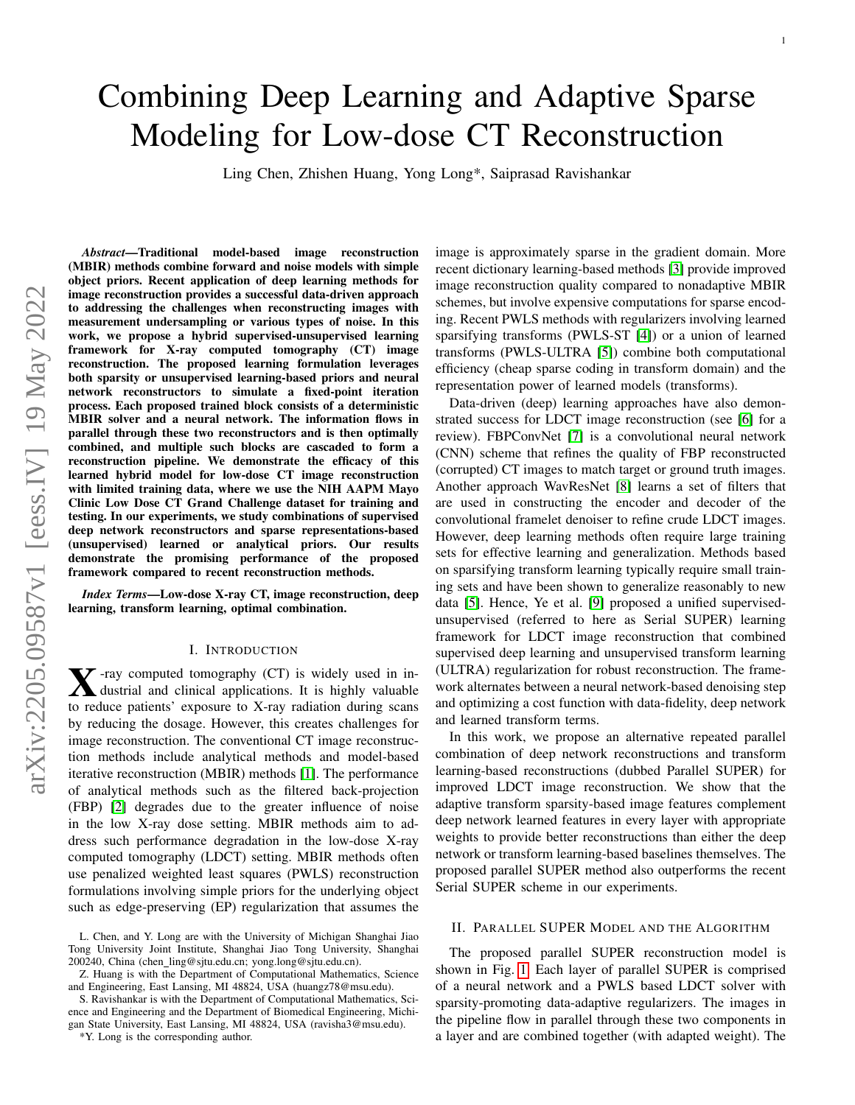# Combining Deep Learning and Adaptive Sparse Modeling for Low-dose CT Reconstruction

Ling Chen, Zhishen Huang, Yong Long\*, Saiprasad Ravishankar

*Abstract*—Traditional model-based image reconstruction (MBIR) methods combine forward and noise models with simple object priors. Recent application of deep learning methods for image reconstruction provides a successful data-driven approach to addressing the challenges when reconstructing images with measurement undersampling or various types of noise. In this work, we propose a hybrid supervised-unsupervised learning framework for X-ray computed tomography (CT) image reconstruction. The proposed learning formulation leverages both sparsity or unsupervised learning-based priors and neural network reconstructors to simulate a fixed-point iteration process. Each proposed trained block consists of a deterministic MBIR solver and a neural network. The information flows in parallel through these two reconstructors and is then optimally combined, and multiple such blocks are cascaded to form a reconstruction pipeline. We demonstrate the efficacy of this learned hybrid model for low-dose CT image reconstruction with limited training data, where we use the NIH AAPM Mayo Clinic Low Dose CT Grand Challenge dataset for training and testing. In our experiments, we study combinations of supervised deep network reconstructors and sparse representations-based (unsupervised) learned or analytical priors. Our results demonstrate the promising performance of the proposed framework compared to recent reconstruction methods.

*Index Terms*—Low-dose X-ray CT, image reconstruction, deep learning, transform learning, optimal combination.

#### I. INTRODUCTION

 $\sum$ -ray computed tomography (CT) is widely used in in-<br>dustrial and clinical applications. It is highly valuable<br>to reduce noticity, uncount to  $X$  are noticitive during express dustrial and clinical applications. It is highly valuable to reduce patients' exposure to X-ray radiation during scans by reducing the dosage. However, this creates challenges for image reconstruction. The conventional CT image reconstruction methods include analytical methods and model-based iterative reconstruction (MBIR) methods [\[1\]](#page-3-0). The performance of analytical methods such as the filtered back-projection (FBP) [\[2\]](#page-3-1) degrades due to the greater influence of noise in the low X-ray dose setting. MBIR methods aim to address such performance degradation in the low-dose X-ray computed tomography (LDCT) setting. MBIR methods often use penalized weighted least squares (PWLS) reconstruction formulations involving simple priors for the underlying object such as edge-preserving (EP) regularization that assumes the

\*Y. Long is the corresponding author.

image is approximately sparse in the gradient domain. More recent dictionary learning-based methods [\[3\]](#page-3-2) provide improved image reconstruction quality compared to nonadaptive MBIR schemes, but involve expensive computations for sparse encoding. Recent PWLS methods with regularizers involving learned sparsifying transforms (PWLS-ST [\[4\]](#page-3-3)) or a union of learned transforms (PWLS-ULTRA [\[5\]](#page-3-4)) combine both computational efficiency (cheap sparse coding in transform domain) and the representation power of learned models (transforms).

Data-driven (deep) learning approaches have also demonstrated success for LDCT image reconstruction (see [\[6\]](#page-3-5) for a review). FBPConvNet [\[7\]](#page-3-6) is a convolutional neural network (CNN) scheme that refines the quality of FBP reconstructed (corrupted) CT images to match target or ground truth images. Another approach WavResNet [\[8\]](#page-3-7) learns a set of filters that are used in constructing the encoder and decoder of the convolutional framelet denoiser to refine crude LDCT images. However, deep learning methods often require large training sets for effective learning and generalization. Methods based on sparsifying transform learning typically require small training sets and have been shown to generalize reasonably to new data [\[5\]](#page-3-4). Hence, Ye et al. [\[9\]](#page-3-8) proposed a unified supervisedunsupervised (referred to here as Serial SUPER) learning framework for LDCT image reconstruction that combined supervised deep learning and unsupervised transform learning (ULTRA) regularization for robust reconstruction. The framework alternates between a neural network-based denoising step and optimizing a cost function with data-fidelity, deep network and learned transform terms.

In this work, we propose an alternative repeated parallel combination of deep network reconstructions and transform learning-based reconstructions (dubbed Parallel SUPER) for improved LDCT image reconstruction. We show that the adaptive transform sparsity-based image features complement deep network learned features in every layer with appropriate weights to provide better reconstructions than either the deep network or transform learning-based baselines themselves. The proposed parallel SUPER method also outperforms the recent Serial SUPER scheme in our experiments.

# II. PARALLEL SUPER MODEL AND THE ALGORITHM

The proposed parallel SUPER reconstruction model is shown in Fig. [1.](#page-1-0) Each layer of parallel SUPER is comprised of a neural network and a PWLS based LDCT solver with sparsity-promoting data-adaptive regularizers. The images in the pipeline flow in parallel through these two components in a layer and are combined together (with adapted weight). The

L. Chen, and Y. Long are with the University of Michigan Shanghai Jiao Tong University Joint Institute, Shanghai Jiao Tong University, Shanghai 200240, China (chen ling@sjtu.edu.cn; yong.long@sjtu.edu.cn).

Z. Huang is with the Department of Computational Mathematics, Science and Engineering, East Lansing, MI 48824, USA (huangz78@msu.edu).

S. Ravishankar is with the Department of Computational Mathematics, Science and Engineering and the Department of Biomedical Engineering, Michigan State University, East Lansing, MI 48824, USA (ravisha3@msu.edu).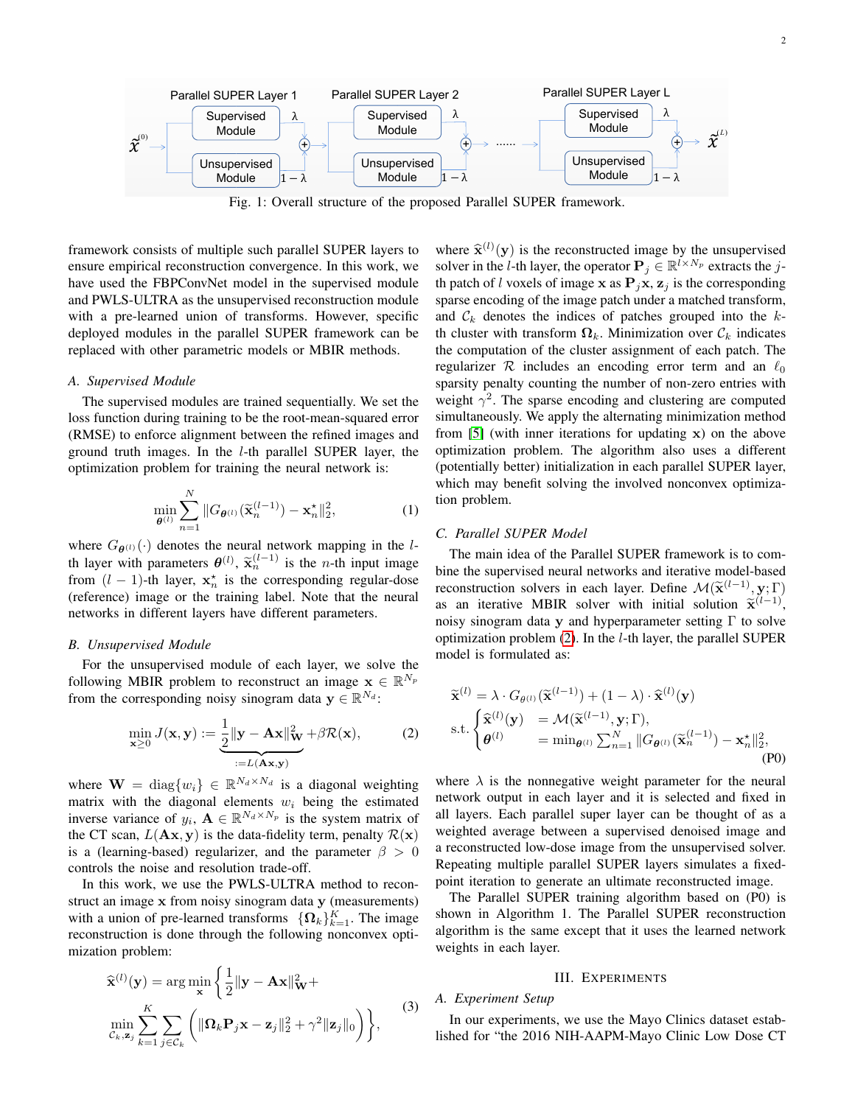<span id="page-1-0"></span>

Fig. 1: Overall structure of the proposed Parallel SUPER framework.

framework consists of multiple such parallel SUPER layers to ensure empirical reconstruction convergence. In this work, we have used the FBPConvNet model in the supervised module and PWLS-ULTRA as the unsupervised reconstruction module with a pre-learned union of transforms. However, specific deployed modules in the parallel SUPER framework can be replaced with other parametric models or MBIR methods.

## *A. Supervised Module*

The supervised modules are trained sequentially. We set the loss function during training to be the root-mean-squared error (RMSE) to enforce alignment between the refined images and ground truth images. In the l-th parallel SUPER layer, the optimization problem for training the neural network is:

<span id="page-1-2"></span>
$$
\min_{\boldsymbol{\theta}^{(l)}} \sum_{n=1}^{N} \|G_{\boldsymbol{\theta}^{(l)}}(\widetilde{\mathbf{x}}_n^{(l-1)}) - \mathbf{x}_n^{\star}\|_2^2, \tag{1}
$$

where  $G_{\theta^{(l)}}(\cdot)$  denotes the neural network mapping in the lth layer with parameters  $\theta^{(l)}$ ,  $\tilde{\mathbf{x}}_n^{(l-1)}$  is the *n*-th input image<br>from  $(l-1)$  th layer  $\mathbf{x}^*$  is the corresponding regular does from  $(l - 1)$ -th layer,  $\mathbf{x}_n^*$  is the corresponding regular-dose (reference) image or the training label. Note that the neural networks in different layers have different parameters.

## *B. Unsupervised Module*

For the unsupervised module of each layer, we solve the following MBIR problem to reconstruct an image  $\mathbf{x} \in \mathbb{R}^{N_p}$ from the corresponding noisy sinogram data  $y \in \mathbb{R}^{N_d}$ :

<span id="page-1-1"></span>
$$
\min_{\mathbf{x} \ge 0} J(\mathbf{x}, \mathbf{y}) := \underbrace{\frac{1}{2} ||\mathbf{y} - \mathbf{A}\mathbf{x}||_{\mathbf{W}}^2}_{:=L(\mathbf{A}\mathbf{x}, \mathbf{y})} + \beta \mathcal{R}(\mathbf{x}),\tag{2}
$$

where  $\mathbf{W} = \text{diag}\{w_i\} \in \mathbb{R}^{N_d \times N_d}$  is a diagonal weighting matrix with the diagonal elements  $w_i$  being the estimated inverse variance of  $y_i$ ,  $\mathbf{A} \in \mathbb{R}^{N_d \times N_p}$  is the system matrix of the CT scan,  $L(\mathbf{A}\mathbf{x}, \mathbf{y})$  is the data-fidelity term, penalty  $\mathcal{R}(\mathbf{x})$ is a (learning-based) regularizer, and the parameter  $\beta > 0$ controls the noise and resolution trade-off.

In this work, we use the PWLS-ULTRA method to reconstruct an image x from noisy sinogram data y (measurements) with a union of pre-learned transforms  $\{\mathbf{\Omega}_k\}_{k=1}^K$ . The image reconstruction is done through the following nonconvex optimization problem:

$$
\widehat{\mathbf{x}}^{(l)}(\mathbf{y}) = \arg\min_{\mathbf{x}} \left\{ \frac{1}{2} ||\mathbf{y} - \mathbf{A}\mathbf{x}||_{\mathbf{W}}^2 + \min_{\mathbf{x}, \mathbf{z}_j} \sum_{k=1}^K \sum_{j \in \mathcal{C}_k} \left( ||\mathbf{\Omega}_k \mathbf{P}_j \mathbf{x} - \mathbf{z}_j||_2^2 + \gamma^2 ||\mathbf{z}_j||_0 \right) \right\},
$$
\n(3)

where  $\hat{\mathbf{x}}^{(l)}(\mathbf{y})$  is the reconstructed image by the unsupervised<br>solver in the l th lover the operator  $\mathbf{P}_{k} \in \mathbb{R}^{l \times N_{n}}$  oxtracts the i. solver in the *l*-th layer, the operator  $P_j \in \mathbb{R}^{l \times N_p}$  extracts the *j*th patch of l voxels of image x as  $P_jx$ ,  $z_j$  is the corresponding sparse encoding of the image patch under a matched transform, and  $\mathcal{C}_k$  denotes the indices of patches grouped into the  $k$ th cluster with transform  $\Omega_k$ . Minimization over  $\mathcal{C}_k$  indicates the computation of the cluster assignment of each patch. The regularizer  $\mathcal R$  includes an encoding error term and an  $\ell_0$ sparsity penalty counting the number of non-zero entries with weight  $\gamma^2$ . The sparse encoding and clustering are computed simultaneously. We apply the alternating minimization method from [\[5\]](#page-3-4) (with inner iterations for updating x) on the above optimization problem. The algorithm also uses a different (potentially better) initialization in each parallel SUPER layer, which may benefit solving the involved nonconvex optimization problem.

## *C. Parallel SUPER Model*

The main idea of the Parallel SUPER framework is to combine the supervised neural networks and iterative model-based reconstruction solvers in each layer. Define  $\mathcal{M}(\tilde{\mathbf{x}}^{(l-1)}, \mathbf{y}; \Gamma)$ <br>as an iterative MBIP solver with initial solution  $\tilde{\mathbf{x}}^{(l-1)}$ as an iterative MBIR solver with initial solution  $\tilde{\mathbf{x}}^{(l-1)}$ ,<br>noisy sincerem data y and hyperparameter setting  $\Gamma$  to solve noisy sinogram data y and hyperparameter setting  $\Gamma$  to solve optimization problem [\(2\)](#page-1-1). In the l-th layer, the parallel SUPER model is formulated as:

$$
\widetilde{\mathbf{x}}^{(l)} = \lambda \cdot G_{\theta^{(l)}}(\widetilde{\mathbf{x}}^{(l-1)}) + (1 - \lambda) \cdot \widehat{\mathbf{x}}^{(l)}(\mathbf{y})
$$
\n
$$
\text{s.t.} \begin{cases}\n\widehat{\mathbf{x}}^{(l)}(\mathbf{y}) = \mathcal{M}(\widetilde{\mathbf{x}}^{(l-1)}, \mathbf{y}; \Gamma), \\
\theta^{(l)} = \min_{\theta^{(l)}} \sum_{n=1}^{N} ||G_{\theta^{(l)}}(\widetilde{\mathbf{x}}^{(l-1)}_n) - \mathbf{x}^{\star}_n||_2^2, \\
\end{cases} (P0)
$$

where  $\lambda$  is the nonnegative weight parameter for the neural network output in each layer and it is selected and fixed in all layers. Each parallel super layer can be thought of as a weighted average between a supervised denoised image and a reconstructed low-dose image from the unsupervised solver. Repeating multiple parallel SUPER layers simulates a fixedpoint iteration to generate an ultimate reconstructed image.

The Parallel SUPER training algorithm based on (P0) is shown in Algorithm 1. The Parallel SUPER reconstruction algorithm is the same except that it uses the learned network weights in each layer.

#### <span id="page-1-3"></span>III. EXPERIMENTS

#### *A. Experiment Setup*

In our experiments, we use the Mayo Clinics dataset established for "the 2016 NIH-AAPM-Mayo Clinic Low Dose CT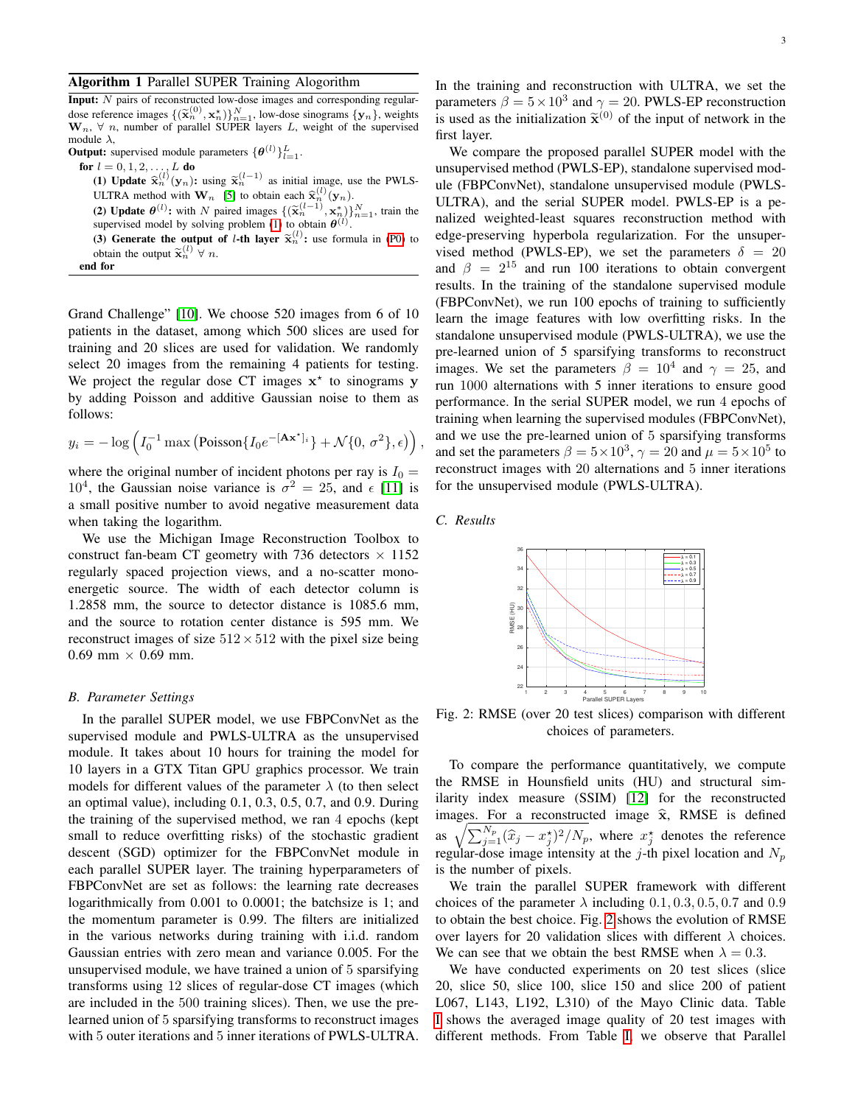## Algorithm 1 Parallel SUPER Training Alogorithm

Input: N pairs of reconstructed low-dose images and corresponding regulardose reference images  $\{(\tilde{\mathbf{x}}_n^{(0)}, \mathbf{x}_n^*)\}_{n=1}^N$ , low-dose sinograms  $\{y_n\}$ , weights  $\mathbf{W} \quad \forall n$  number of parallel SUPER layers L, weight of the supervised  $\mathbf{W}_n$ ,  $\forall$  n, number of parallel SUPER layers L, weight of the supervised module  $\lambda$ ,

**Output:** supervised module parameters  $\{\theta^{(l)}\}_{l=1}^L$ .

**for** 
$$
l = 0, 1, 2, \ldots, L
$$
 **do**

(1) Update  $\hat{\mathbf{x}}_n^{(l)}(\mathbf{y}_n)$ : using  $\tilde{\mathbf{x}}_n^{(l-1)}$  as initial image, use the PWLS-<br>ULTDA gradual with  $\mathbf{W}_{n}$ ,  $[\mathbf{S}]$  to abtain such  $\hat{\mathbf{x}}_n^{(l)}$  (see )  $_{n}^{(l)}(\mathbf{y}_{n}).$ 

ULTRA method with **W**<sub>n</sub> [\[5\]](#page-3-4) to obtain each  $\hat{\mathbf{x}}_n^{(t)}(\mathbf{y}_n)$ .<br>(2) **Update**  $\theta^{(l)}$ **:** with *N* paired images  $\{(\tilde{\mathbf{x}}_n^{(l-1)}, \mathbf{x}_n^*)\}_{n=1}^N$ , train the supervised model by solving problem [\(1\)](#page-1-2) to obtain  $\theta^{(l)}$ 

(3) Generate the output of *l*-th layer  $\tilde{\mathbf{x}}_n^{(l)}$ ; use formula in [\(P0\)](#page-1-3) to obtain the output  $\tilde{\mathbf{x}}^{(l)}$   $\vee$  or obtain the output  $\tilde{\mathbf{x}}_n^{(l)} \forall n$ .

end for

Grand Challenge" [\[10\]](#page-3-9). We choose 520 images from 6 of 10 patients in the dataset, among which 500 slices are used for training and 20 slices are used for validation. We randomly select 20 images from the remaining 4 patients for testing. We project the regular dose CT images  $x^*$  to sinograms y by adding Poisson and additive Gaussian noise to them as follows:

$$
y_i = -\log\left(I_0^{-1}\max\left(\text{Poisson}\{I_0e^{-[\mathbf{A}\mathbf{x}^*]_i}\} + \mathcal{N}\{0,\,\sigma^2\},\epsilon\right)\right),\,
$$

where the original number of incident photons per ray is  $I_0 =$  $10<sup>4</sup>$ , the Gaussian noise variance is  $\sigma^2 = 25$ , and  $\epsilon$  [\[11\]](#page-3-10) is a small positive number to avoid negative measurement data when taking the logarithm.

We use the Michigan Image Reconstruction Toolbox to construct fan-beam CT geometry with 736 detectors  $\times$  1152 regularly spaced projection views, and a no-scatter monoenergetic source. The width of each detector column is 1.2858 mm, the source to detector distance is 1085.6 mm, and the source to rotation center distance is 595 mm. We reconstruct images of size  $512 \times 512$  with the pixel size being  $0.69$  mm  $\times$  0.69 mm.

### *B. Parameter Settings*

In the parallel SUPER model, we use FBPConvNet as the supervised module and PWLS-ULTRA as the unsupervised module. It takes about 10 hours for training the model for 10 layers in a GTX Titan GPU graphics processor. We train models for different values of the parameter  $\lambda$  (to then select an optimal value), including 0.1, 0.3, 0.5, 0.7, and 0.9. During the training of the supervised method, we ran 4 epochs (kept small to reduce overfitting risks) of the stochastic gradient descent (SGD) optimizer for the FBPConvNet module in each parallel SUPER layer. The training hyperparameters of FBPConvNet are set as follows: the learning rate decreases logarithmically from 0.001 to 0.0001; the batchsize is 1; and the momentum parameter is 0.99. The filters are initialized in the various networks during training with i.i.d. random Gaussian entries with zero mean and variance 0.005. For the unsupervised module, we have trained a union of 5 sparsifying transforms using 12 slices of regular-dose CT images (which are included in the 500 training slices). Then, we use the prelearned union of 5 sparsifying transforms to reconstruct images with 5 outer iterations and 5 inner iterations of PWLS-ULTRA.

In the training and reconstruction with ULTRA, we set the parameters  $\beta = 5 \times 10^3$  and  $\gamma = 20$ . PWLS-EP reconstruction is used as the initialization  $\tilde{\mathbf{x}}^{(0)}$  of the input of network in the first layer first layer.

We compare the proposed parallel SUPER model with the unsupervised method (PWLS-EP), standalone supervised module (FBPConvNet), standalone unsupervised module (PWLS-ULTRA), and the serial SUPER model. PWLS-EP is a penalized weighted-least squares reconstruction method with edge-preserving hyperbola regularization. For the unsupervised method (PWLS-EP), we set the parameters  $\delta = 20$ and  $\beta = 2^{15}$  and run 100 iterations to obtain convergent results. In the training of the standalone supervised module (FBPConvNet), we run 100 epochs of training to sufficiently learn the image features with low overfitting risks. In the standalone unsupervised module (PWLS-ULTRA), we use the pre-learned union of 5 sparsifying transforms to reconstruct images. We set the parameters  $\beta = 10^4$  and  $\gamma = 25$ , and run 1000 alternations with 5 inner iterations to ensure good performance. In the serial SUPER model, we run 4 epochs of training when learning the supervised modules (FBPConvNet), and we use the pre-learned union of 5 sparsifying transforms and set the parameters  $\beta = 5 \times 10^3$ ,  $\gamma = 20$  and  $\mu = 5 \times 10^5$  to reconstruct images with 20 alternations and 5 inner iterations for the unsupervised module (PWLS-ULTRA).

<span id="page-2-0"></span>*C. Results*



Fig. 2: RMSE (over 20 test slices) comparison with different choices of parameters.

To compare the performance quantitatively, we compute the RMSE in Hounsfield units (HU) and structural similarity index measure (SSIM) [\[12\]](#page-3-11) for the reconstructed images. For a reconstructed image  $\hat{x}$ , RMSE is defined as  $\sqrt{\sum_{j=1}^{N_p} (\hat{x}_j - x_j^{\star})^2/N_p}$ , where  $x_j^{\star}$  denotes the reference regular-dose image intensity at the j-th pixel location and  $N_p$ is the number of pixels.

We train the parallel SUPER framework with different choices of the parameter  $\lambda$  including 0.1, 0.3, 0.5, 0.7 and 0.9 to obtain the best choice. Fig. [2](#page-2-0) shows the evolution of RMSE over layers for 20 validation slices with different  $\lambda$  choices. We can see that we obtain the best RMSE when  $\lambda = 0.3$ .

We have conducted experiments on 20 test slices (slice 20, slice 50, slice 100, slice 150 and slice 200 of patient L067, L143, L192, L310) of the Mayo Clinic data. Table [I](#page-3-12) shows the averaged image quality of 20 test images with different methods. From Table [I,](#page-3-12) we observe that Parallel